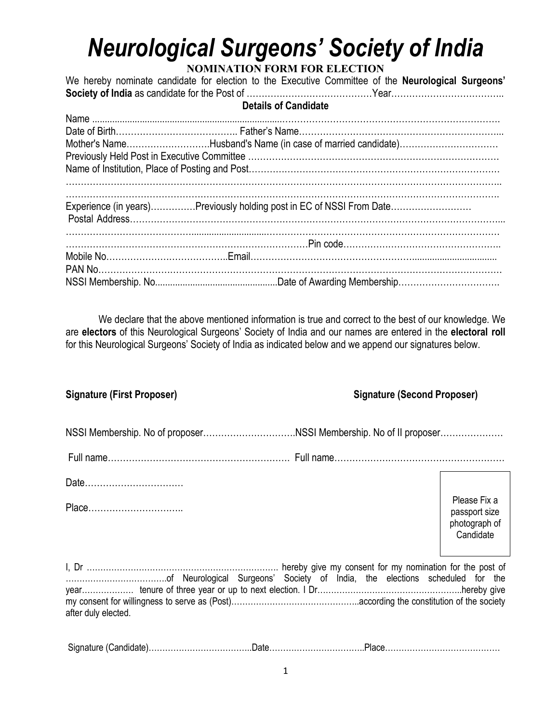## *Neurological Surgeons' Society of India*

## **NOMINATION FORM FOR ELECTION**

We hereby nominate candidate for election to the Executive Committee of the **Neurological Surgeons' Society of India** as candidate for the Post of …………………………………………………………………………………………

## **Details of Candidate**

|  | Mother's NameHusband's Name (in case of married candidate)           |
|--|----------------------------------------------------------------------|
|  |                                                                      |
|  |                                                                      |
|  | Experience (in years)Previously holding post in EC of NSSI From Date |
|  |                                                                      |
|  |                                                                      |
|  |                                                                      |
|  |                                                                      |
|  |                                                                      |
|  |                                                                      |

We declare that the above mentioned information is true and correct to the best of our knowledge. We are **electors** of this Neurological Surgeons' Society of India and our names are entered in the **electoral roll** for this Neurological Surgeons' Society of India as indicated below and we append our signatures below.

| <b>Signature (First Proposer)</b> |  | <b>Signature (Second Proposer)</b> |                                                             |  |
|-----------------------------------|--|------------------------------------|-------------------------------------------------------------|--|
|                                   |  |                                    |                                                             |  |
|                                   |  |                                    |                                                             |  |
| Date<br>Place                     |  |                                    | Please Fix a<br>passport size<br>photograph of<br>Candidate |  |
| after duly elected.               |  |                                    |                                                             |  |
|                                   |  |                                    |                                                             |  |